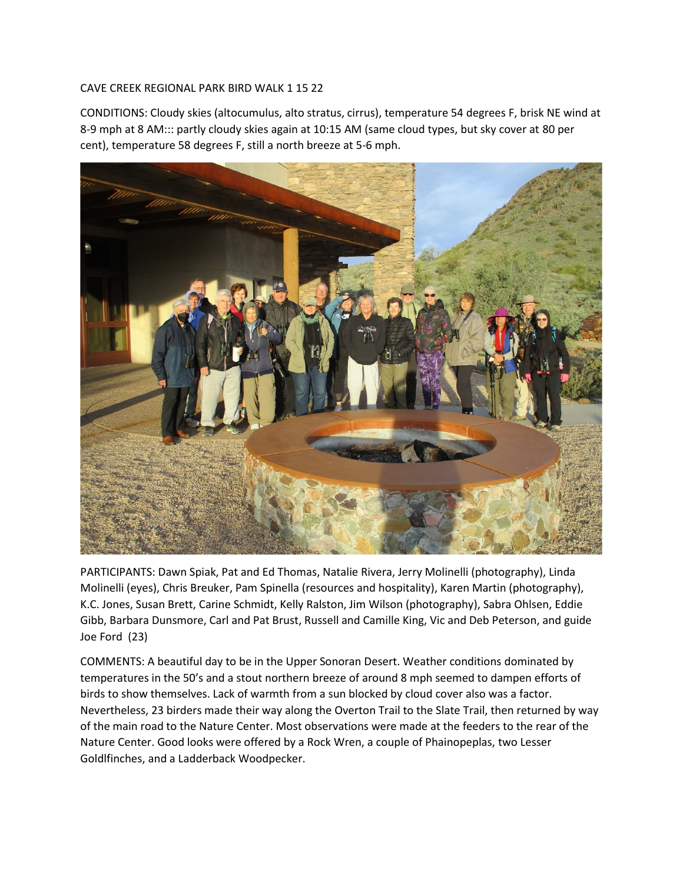## CAVE CREEK REGIONAL PARK BIRD WALK 1 15 22

CONDITIONS: Cloudy skies (altocumulus, alto stratus, cirrus), temperature 54 degrees F, brisk NE wind at 8-9 mph at 8 AM::: partly cloudy skies again at 10:15 AM (same cloud types, but sky cover at 80 per cent), temperature 58 degrees F, still a north breeze at 5-6 mph.



PARTICIPANTS: Dawn Spiak, Pat and Ed Thomas, Natalie Rivera, Jerry Molinelli (photography), Linda Molinelli (eyes), Chris Breuker, Pam Spinella (resources and hospitality), Karen Martin (photography), K.C. Jones, Susan Brett, Carine Schmidt, Kelly Ralston, Jim Wilson (photography), Sabra Ohlsen, Eddie Gibb, Barbara Dunsmore, Carl and Pat Brust, Russell and Camille King, Vic and Deb Peterson, and guide Joe Ford (23)

COMMENTS: A beautiful day to be in the Upper Sonoran Desert. Weather conditions dominated by temperatures in the 50's and a stout northern breeze of around 8 mph seemed to dampen efforts of birds to show themselves. Lack of warmth from a sun blocked by cloud cover also was a factor. Nevertheless, 23 birders made their way along the Overton Trail to the Slate Trail, then returned by way of the main road to the Nature Center. Most observations were made at the feeders to the rear of the Nature Center. Good looks were offered by a Rock Wren, a couple of Phainopeplas, two Lesser Goldlfinches, and a Ladderback Woodpecker.